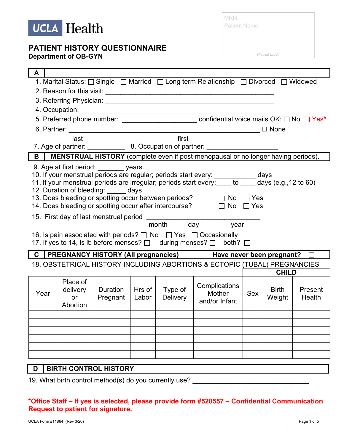

| MRN:                 |  |  |
|----------------------|--|--|
| <b>Patient Name:</b> |  |  |

(Patient Label)

| 1. Marital Status: □ Single □ Married □ Long term Relationship □ Divorced □ Widowed<br>5. Preferred phone number: _______________________ confidential voice mails OK: □ No □ Yes*<br>$\Box$ None<br>first<br>last<br>7. Age of partner: _______________ 8. Occupation of partner: ___________________<br>MENSTRUAL HISTORY (complete even if post-menopausal or no longer having periods).<br>B<br>9. Age at first period: ________ years.<br>10. If your menstrual periods are regular; periods start every: ___________ days<br>11. If your menstrual periods are irregular; periods start every: to days (e.g., 12 to 60)<br>12. Duration of bleeding: days<br>13. Does bleeding or spotting occur between periods?<br>$\Box$ No $\Box$ Yes<br>14. Does bleeding or spotting occur after intercourse? $\Box$ No $\Box$ Yes<br>15. First day of last menstrual period _________<br>month<br>day year<br>16. Is pain associated with periods? $\Box$ No $\Box$ Yes $\Box$ Occasionally<br>17. If yes to 14, is it: before menses? □ during menses? □ both? □ |  |  |  |  |
|----------------------------------------------------------------------------------------------------------------------------------------------------------------------------------------------------------------------------------------------------------------------------------------------------------------------------------------------------------------------------------------------------------------------------------------------------------------------------------------------------------------------------------------------------------------------------------------------------------------------------------------------------------------------------------------------------------------------------------------------------------------------------------------------------------------------------------------------------------------------------------------------------------------------------------------------------------------------------------------------------------------------------------------------------------------|--|--|--|--|
|                                                                                                                                                                                                                                                                                                                                                                                                                                                                                                                                                                                                                                                                                                                                                                                                                                                                                                                                                                                                                                                                |  |  |  |  |
|                                                                                                                                                                                                                                                                                                                                                                                                                                                                                                                                                                                                                                                                                                                                                                                                                                                                                                                                                                                                                                                                |  |  |  |  |
|                                                                                                                                                                                                                                                                                                                                                                                                                                                                                                                                                                                                                                                                                                                                                                                                                                                                                                                                                                                                                                                                |  |  |  |  |
|                                                                                                                                                                                                                                                                                                                                                                                                                                                                                                                                                                                                                                                                                                                                                                                                                                                                                                                                                                                                                                                                |  |  |  |  |
|                                                                                                                                                                                                                                                                                                                                                                                                                                                                                                                                                                                                                                                                                                                                                                                                                                                                                                                                                                                                                                                                |  |  |  |  |
|                                                                                                                                                                                                                                                                                                                                                                                                                                                                                                                                                                                                                                                                                                                                                                                                                                                                                                                                                                                                                                                                |  |  |  |  |
|                                                                                                                                                                                                                                                                                                                                                                                                                                                                                                                                                                                                                                                                                                                                                                                                                                                                                                                                                                                                                                                                |  |  |  |  |
|                                                                                                                                                                                                                                                                                                                                                                                                                                                                                                                                                                                                                                                                                                                                                                                                                                                                                                                                                                                                                                                                |  |  |  |  |
|                                                                                                                                                                                                                                                                                                                                                                                                                                                                                                                                                                                                                                                                                                                                                                                                                                                                                                                                                                                                                                                                |  |  |  |  |
|                                                                                                                                                                                                                                                                                                                                                                                                                                                                                                                                                                                                                                                                                                                                                                                                                                                                                                                                                                                                                                                                |  |  |  |  |
| PREGNANCY HISTORY (All pregnancies) Have never been pregnant?<br>$\mathbf C$                                                                                                                                                                                                                                                                                                                                                                                                                                                                                                                                                                                                                                                                                                                                                                                                                                                                                                                                                                                   |  |  |  |  |
| 18. OBSTETRICAL HISTORY INCLUDING ABORTIONS & ECTOPIC (TUBAL) PREGNANCIES                                                                                                                                                                                                                                                                                                                                                                                                                                                                                                                                                                                                                                                                                                                                                                                                                                                                                                                                                                                      |  |  |  |  |
| <b>CHILD</b>                                                                                                                                                                                                                                                                                                                                                                                                                                                                                                                                                                                                                                                                                                                                                                                                                                                                                                                                                                                                                                                   |  |  |  |  |
| Place of<br>Complications<br><b>Duration</b><br>Hrs of<br>Type of<br>delivery<br><b>Birth</b><br>Present<br>Year<br>Mother<br><b>Sex</b><br><b>Delivery</b><br>Weight<br>Labor<br>Health<br>Pregnant<br><b>or</b><br>and/or Infant<br>Abortion                                                                                                                                                                                                                                                                                                                                                                                                                                                                                                                                                                                                                                                                                                                                                                                                                 |  |  |  |  |
|                                                                                                                                                                                                                                                                                                                                                                                                                                                                                                                                                                                                                                                                                                                                                                                                                                                                                                                                                                                                                                                                |  |  |  |  |
|                                                                                                                                                                                                                                                                                                                                                                                                                                                                                                                                                                                                                                                                                                                                                                                                                                                                                                                                                                                                                                                                |  |  |  |  |
|                                                                                                                                                                                                                                                                                                                                                                                                                                                                                                                                                                                                                                                                                                                                                                                                                                                                                                                                                                                                                                                                |  |  |  |  |
|                                                                                                                                                                                                                                                                                                                                                                                                                                                                                                                                                                                                                                                                                                                                                                                                                                                                                                                                                                                                                                                                |  |  |  |  |
|                                                                                                                                                                                                                                                                                                                                                                                                                                                                                                                                                                                                                                                                                                                                                                                                                                                                                                                                                                                                                                                                |  |  |  |  |
| <b>BIRTH CONTROL HISTORY</b><br>D                                                                                                                                                                                                                                                                                                                                                                                                                                                                                                                                                                                                                                                                                                                                                                                                                                                                                                                                                                                                                              |  |  |  |  |

19. What birth control method(s) do you currently use? \_\_\_\_\_\_\_\_\_\_\_\_\_\_\_\_\_\_\_\_\_\_\_\_\_

#### **\*Office Staff – If yes is selected, please provide form #520557 – Confidential Communication Request to patient for signature.**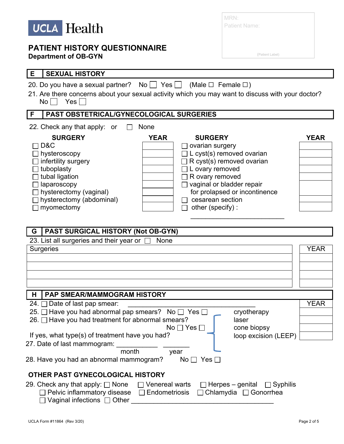

| MRN:          |  |
|---------------|--|
| Patient Name: |  |

(Patient Label)

| E<br><b>SEXUAL HISTORY</b>                                                                                                                                                                                                                                                                                                                                                                                                                 |             |
|--------------------------------------------------------------------------------------------------------------------------------------------------------------------------------------------------------------------------------------------------------------------------------------------------------------------------------------------------------------------------------------------------------------------------------------------|-------------|
| 20. Do you have a sexual partner? No $\Box$ Yes $\Box$ (Male $\Box$ Female $\Box$ )<br>21. Are there concerns about your sexual activity which you may want to discuss with your doctor?<br>$Yes \Box$<br>$No$                                                                                                                                                                                                                             |             |
| F<br>PAST OBSTETRICAL/GYNECOLOGICAL SURGERIES                                                                                                                                                                                                                                                                                                                                                                                              |             |
| 22. Check any that apply: or<br>None                                                                                                                                                                                                                                                                                                                                                                                                       |             |
| <b>SURGERY</b><br><b>YEAR</b><br><b>SURGERY</b><br>D&C<br>ovarian surgery<br>L cyst(s) removed ovarian<br>hysteroscopy<br>R cyst(s) removed ovarian<br>infertility surgery<br>L ovary removed<br>tuboplasty<br>tubal ligation<br>R ovary removed<br>vaginal or bladder repair<br>laparoscopy<br>hysterectomy (vaginal)<br>for prolapsed or incontinence<br>cesarean section<br>hysterectomy (abdominal)<br>myomectomy<br>other (specify) : | <b>YEAR</b> |
| PAST SURGICAL HISTORY (Not OB-GYN)<br>l G                                                                                                                                                                                                                                                                                                                                                                                                  |             |
| 23. List all surgeries and their year or $\square$<br>None                                                                                                                                                                                                                                                                                                                                                                                 |             |
| <b>Surgeries</b>                                                                                                                                                                                                                                                                                                                                                                                                                           | <b>YEAR</b> |
| l H<br><b>PAP SMEAR/MAMMOGRAM HISTORY</b>                                                                                                                                                                                                                                                                                                                                                                                                  |             |
| 24. □ Date of last pap smear:<br>25. □ Have you had abnormal pap smears? No □ Yes □<br>cryotherapy<br>26. □ Have you had treatment for abnormal smears?<br>laser<br>cone biopsy<br>No $\Box$ Yes [<br>If yes, what type(s) of treatment have you had?<br>loop excision (LEEP)<br>27. Date of last mammogram:<br>month<br>year<br>28. Have you had an abnormal mammogram?<br>No $\Box$ Yes $\Box$                                           | <b>YEAR</b> |
| OTHER PAST GYNECOLOGICAL HISTORY                                                                                                                                                                                                                                                                                                                                                                                                           |             |
| 29. Check any that apply: □ None<br>$\sqsupset$ Venereal warts<br>$\Box$ Herpes – genital $\Box$ Syphilis<br>Pelvic inflammatory disease<br>$\Box$ Endometriosis<br>Chlamydia □ Gonorrhea<br>Vaginal infections $\Box$ Other                                                                                                                                                                                                               |             |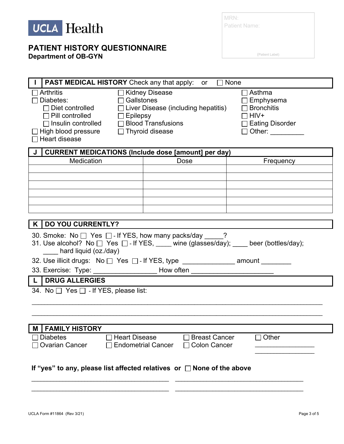

| MRN:                 |                 |  |
|----------------------|-----------------|--|
| <b>Patient Name:</b> |                 |  |
|                      |                 |  |
|                      |                 |  |
|                      | (Patient Label) |  |

| <b>PAST MEDICAL HISTORY</b> Check any that apply: or<br>$\Box$ None                                                                                                                                                                                                                                                                                                                                                                      |                                                  |           |  |  |
|------------------------------------------------------------------------------------------------------------------------------------------------------------------------------------------------------------------------------------------------------------------------------------------------------------------------------------------------------------------------------------------------------------------------------------------|--------------------------------------------------|-----------|--|--|
| □ Kidney Disease<br><b>Arthritis</b><br>$\sqcap$ Asthma<br>Diabetes:<br>$\Box$ Gallstones<br>$\Box$ Emphysema<br>$\Box$ Diet controlled<br>$\Box$ Liver Disease (including hepatitis)<br>$\Box$ Bronchitis<br>HIV+<br>$\Box$ Pill controlled<br>$\Box$ Epilepsy<br>□ Insulin controlled □ Blood Transfusions<br><b>Eating Disorder</b><br>High blood pressure<br><u> </u> Thyroid disease<br>□ Other: __________<br>$\Box$ Heart disease |                                                  |           |  |  |
| <b>CURRENT MEDICATIONS (Include dose [amount] per day)</b>                                                                                                                                                                                                                                                                                                                                                                               |                                                  |           |  |  |
| Medication                                                                                                                                                                                                                                                                                                                                                                                                                               | Dose                                             | Frequency |  |  |
|                                                                                                                                                                                                                                                                                                                                                                                                                                          |                                                  |           |  |  |
|                                                                                                                                                                                                                                                                                                                                                                                                                                          |                                                  |           |  |  |
|                                                                                                                                                                                                                                                                                                                                                                                                                                          |                                                  |           |  |  |
|                                                                                                                                                                                                                                                                                                                                                                                                                                          |                                                  |           |  |  |
|                                                                                                                                                                                                                                                                                                                                                                                                                                          |                                                  |           |  |  |
|                                                                                                                                                                                                                                                                                                                                                                                                                                          |                                                  |           |  |  |
| K   DO YOU CURRENTLY?                                                                                                                                                                                                                                                                                                                                                                                                                    |                                                  |           |  |  |
| 30. Smoke: No $\Box$ Yes $\Box$ - If YES, how many packs/day ?<br>31. Use alcohol? No □ Yes □ - If YES, ____ wine (glasses/day); ____ beer (bottles/day);<br>hard liquid (oz./day)                                                                                                                                                                                                                                                       |                                                  |           |  |  |
| 32. Use illicit drugs: No □ Yes □ - If YES, type _______________ amount ________                                                                                                                                                                                                                                                                                                                                                         |                                                  |           |  |  |
| 33. Exercise: Type: ______________________ How often ________ <del>__________________</del>                                                                                                                                                                                                                                                                                                                                              |                                                  |           |  |  |
| <b>DRUG ALLERGIES</b><br>$\mathsf{L}$                                                                                                                                                                                                                                                                                                                                                                                                    |                                                  |           |  |  |
| 34. No $\Box$ Yes $\Box$ - If YES, please list:                                                                                                                                                                                                                                                                                                                                                                                          |                                                  |           |  |  |
|                                                                                                                                                                                                                                                                                                                                                                                                                                          |                                                  |           |  |  |
|                                                                                                                                                                                                                                                                                                                                                                                                                                          |                                                  |           |  |  |
|                                                                                                                                                                                                                                                                                                                                                                                                                                          |                                                  |           |  |  |
| M   FAMILY HISTORY                                                                                                                                                                                                                                                                                                                                                                                                                       |                                                  |           |  |  |
| <b>Heart Disease</b><br><b>Diabetes</b>                                                                                                                                                                                                                                                                                                                                                                                                  | <b>Breast Cancer</b>                             | Other     |  |  |
| <b>Ovarian Cancer</b>                                                                                                                                                                                                                                                                                                                                                                                                                    | <b>Endometrial Cancer</b><br><b>Colon Cancer</b> |           |  |  |
| If "yes" to any, please list affected relatives or $\Box$ None of the above                                                                                                                                                                                                                                                                                                                                                              |                                                  |           |  |  |
|                                                                                                                                                                                                                                                                                                                                                                                                                                          |                                                  |           |  |  |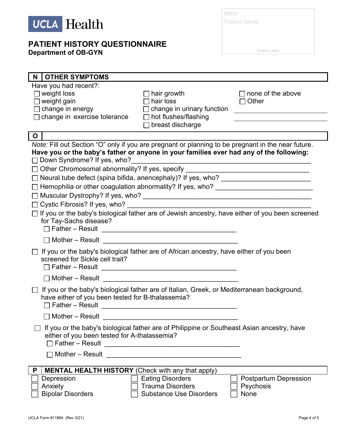

# **PATIENT HISTORY QUESTIONNAIRE**

**Department of OB-GYN**

| MRN:          |  |
|---------------|--|
| Patient Name: |  |
|               |  |
|               |  |

(Patient Label)

| <b>OTHER SYMPTOMS</b><br>N.                                                                                                                                                                                                                                                                                                                                                                                                                                                                                                                                                                                                       |                                                                                                    |                                                                                                                                                                                                                                                                                |
|-----------------------------------------------------------------------------------------------------------------------------------------------------------------------------------------------------------------------------------------------------------------------------------------------------------------------------------------------------------------------------------------------------------------------------------------------------------------------------------------------------------------------------------------------------------------------------------------------------------------------------------|----------------------------------------------------------------------------------------------------|--------------------------------------------------------------------------------------------------------------------------------------------------------------------------------------------------------------------------------------------------------------------------------|
| Have you had recent?:<br>$\Box$ weight loss<br>$\Box$ weight gain<br>$\Box$ change in energy<br>$\Box$ change in exercise tolerance                                                                                                                                                                                                                                                                                                                                                                                                                                                                                               | hair growth<br>hair loss<br>change in urinary function<br>hot flushes/flashing<br>breast discharge | $\sqcap$ none of the above<br>Other<br>$\Box$<br>the control of the control of the control of the control of the control of the control of the control of the control of the control of the control of the control of the control of the control of the control of the control |
| $\circ$                                                                                                                                                                                                                                                                                                                                                                                                                                                                                                                                                                                                                           |                                                                                                    |                                                                                                                                                                                                                                                                                |
| Note: Fill out Section "O" only if you are pregnant or planning to be pregnant in the near future.<br>Have you or the baby's father or anyone in your families ever had any of the following:<br>□ Down Syndrome? If yes, who?<br>□ Other Chromosomal abnormality? If yes, specify<br>□ Neural tube defect (spina bifida, anencephaly)? If yes, who? ________________________<br>Hemophilia or other coagulation abnormality? If yes, who? ______________________<br>Cystic Fibrosis? If yes, who?<br>□ If you or the baby's biological father are of Jewish ancestry, have either of you been screened<br>for Tay-Sachs disease? |                                                                                                    | <u> 1990 - Jan James James Barbara, martin da kasar Indonesia.</u>                                                                                                                                                                                                             |
| If you or the baby's biological father are of African ancestry, have either of you been                                                                                                                                                                                                                                                                                                                                                                                                                                                                                                                                           |                                                                                                    |                                                                                                                                                                                                                                                                                |
| screened for Sickle cell trait?                                                                                                                                                                                                                                                                                                                                                                                                                                                                                                                                                                                                   |                                                                                                    |                                                                                                                                                                                                                                                                                |
| If you or the baby's biological father are of Italian, Greek, or Mediterranean background,<br>have either of you been tested for B-thalassemia?                                                                                                                                                                                                                                                                                                                                                                                                                                                                                   |                                                                                                    |                                                                                                                                                                                                                                                                                |
|                                                                                                                                                                                                                                                                                                                                                                                                                                                                                                                                                                                                                                   |                                                                                                    |                                                                                                                                                                                                                                                                                |
| If you or the baby's biological father are of Philippine or Southeast Asian ancestry, have<br>either of you been tested for A-thalassemia?<br>$\Box$ Father – Result<br>Mother - Result                                                                                                                                                                                                                                                                                                                                                                                                                                           |                                                                                                    |                                                                                                                                                                                                                                                                                |
| <b>MENTAL HEALTH HISTORY</b> (Check with any that apply)<br>P                                                                                                                                                                                                                                                                                                                                                                                                                                                                                                                                                                     |                                                                                                    |                                                                                                                                                                                                                                                                                |
| Depression<br>Anxiety<br><b>Bipolar Disorders</b>                                                                                                                                                                                                                                                                                                                                                                                                                                                                                                                                                                                 | <b>Eating Disorders</b><br><b>Trauma Disorders</b><br><b>Substance Use Disorders</b>               | <b>Postpartum Depression</b><br>Psychosis<br>None                                                                                                                                                                                                                              |